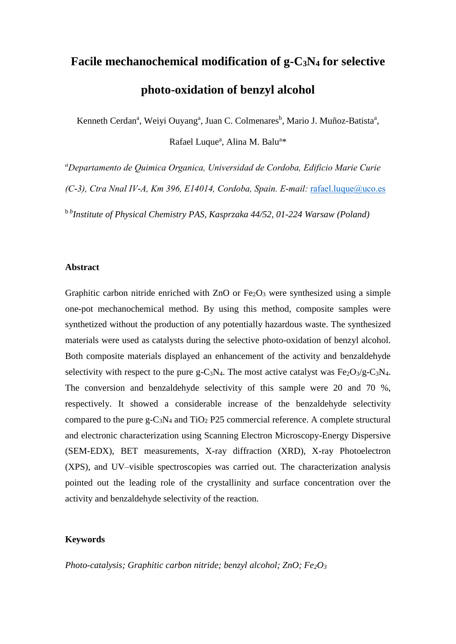# **Facile mechanochemical modification of g-C3N<sup>4</sup> for selective photo-oxidation of benzyl alcohol**

Kenneth Cerdan<sup>a</sup>, Weiyi Ouyang<sup>a</sup>, Juan C. Colmenares<sup>b</sup>, Mario J. Muñoz-Batista<sup>a</sup>, Rafael Luque<sup>a</sup>, Alina M. Balu<sup>a\*</sup>

*<sup>a</sup>Departamento de Quimica Organica, Universidad de Cordoba, Edificio Marie Curie (C-3), Ctra Nnal IV-A, Km 396, E14014, Cordoba, Spain. E-mail:* [rafael.luque@uco.es](mailto:rafael.luque@uco.es)

b *b Institute of Physical Chemistry PAS, Kasprzaka 44/52, 01-224 Warsaw (Poland)*

#### **Abstract**

Graphitic carbon nitride enriched with  $ZnO$  or  $Fe<sub>2</sub>O<sub>3</sub>$  were synthesized using a simple one-pot mechanochemical method. By using this method, composite samples were synthetized without the production of any potentially hazardous waste. The synthesized materials were used as catalysts during the selective photo-oxidation of benzyl alcohol. Both composite materials displayed an enhancement of the activity and benzaldehyde selectivity with respect to the pure g-C<sub>3</sub>N<sub>4</sub>. The most active catalyst was Fe<sub>2</sub>O<sub>3</sub>/g-C<sub>3</sub>N<sub>4</sub>. The conversion and benzaldehyde selectivity of this sample were 20 and 70 %, respectively. It showed a considerable increase of the benzaldehyde selectivity compared to the pure  $g-C_3N_4$  and  $TiO_2$  P25 commercial reference. A complete structural and electronic characterization using Scanning Electron Microscopy-Energy Dispersive (SEM-EDX), BET measurements, X-ray diffraction (XRD), X-ray Photoelectron (XPS), and UV–visible spectroscopies was carried out. The characterization analysis pointed out the leading role of the crystallinity and surface concentration over the activity and benzaldehyde selectivity of the reaction.

#### **Keywords**

*Photo-catalysis; Graphitic carbon nitride; benzyl alcohol; ZnO; Fe2O3*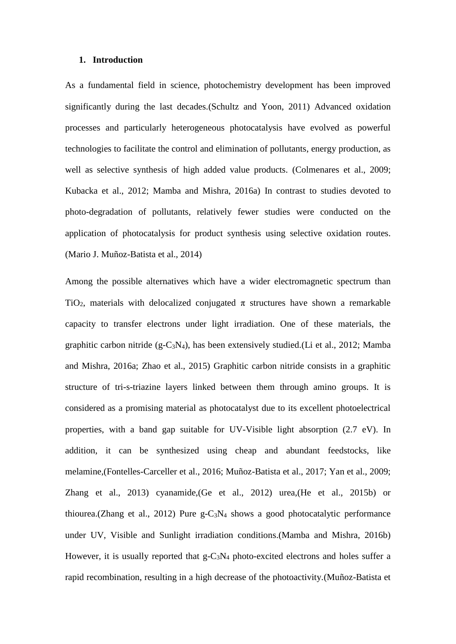#### **1. Introduction**

As a fundamental field in science, photochemistry development has been improved significantly during the last decades.(Schultz and Yoon, 2011) Advanced oxidation processes and particularly heterogeneous photocatalysis have evolved as powerful technologies to facilitate the control and elimination of pollutants, energy production, as well as selective synthesis of high added value products. (Colmenares et al., 2009; Kubacka et al., 2012; Mamba and Mishra, 2016a) In contrast to studies devoted to photo-degradation of pollutants, relatively fewer studies were conducted on the application of photocatalysis for product synthesis using selective oxidation routes. (Mario J. Muñoz-Batista et al., 2014)

Among the possible alternatives which have a wider electromagnetic spectrum than TiO<sub>2</sub>, materials with delocalized conjugated  $\pi$  structures have shown a remarkable capacity to transfer electrons under light irradiation. One of these materials, the graphitic carbon nitride (g-C<sub>3</sub>N<sub>4</sub>), has been extensively studied.(Li et al., 2012; Mamba and Mishra, 2016a; Zhao et al., 2015) Graphitic carbon nitride consists in a graphitic structure of tri-s-triazine layers linked between them through amino groups. It is considered as a promising material as photocatalyst due to its excellent photoelectrical properties, with a band gap suitable for UV-Visible light absorption (2.7 eV). In addition, it can be synthesized using cheap and abundant feedstocks, like melamine,(Fontelles-Carceller et al., 2016; Muñoz-Batista et al., 2017; Yan et al., 2009; Zhang et al., 2013) cyanamide,(Ge et al., 2012) urea,(He et al., 2015b) or thiourea.(Zhang et al., 2012) Pure  $g-C_3N_4$  shows a good photocatalytic performance under UV, Visible and Sunlight irradiation conditions.(Mamba and Mishra, 2016b) However, it is usually reported that  $g-C_3N_4$  photo-excited electrons and holes suffer a rapid recombination, resulting in a high decrease of the photoactivity.(Muñoz-Batista et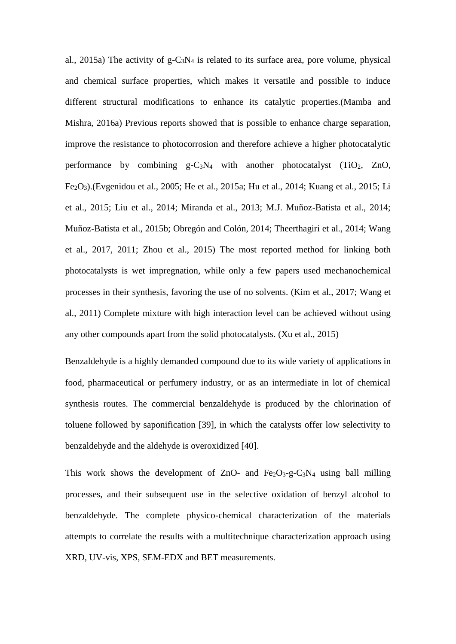al., 2015a) The activity of  $g - C_3N_4$  is related to its surface area, pore volume, physical and chemical surface properties, which makes it versatile and possible to induce different structural modifications to enhance its catalytic properties.(Mamba and Mishra, 2016a) Previous reports showed that is possible to enhance charge separation, improve the resistance to photocorrosion and therefore achieve a higher photocatalytic performance by combining  $g - C_3N_4$  with another photocatalyst (TiO<sub>2</sub>, ZnO, Fe2O3).(Evgenidou et al., 2005; He et al., 2015a; Hu et al., 2014; Kuang et al., 2015; Li et al., 2015; Liu et al., 2014; Miranda et al., 2013; M.J. Muñoz-Batista et al., 2014; Muñoz-Batista et al., 2015b; Obregón and Colón, 2014; Theerthagiri et al., 2014; Wang et al., 2017, 2011; Zhou et al., 2015) The most reported method for linking both photocatalysts is wet impregnation, while only a few papers used mechanochemical processes in their synthesis, favoring the use of no solvents. (Kim et al., 2017; Wang et al., 2011) Complete mixture with high interaction level can be achieved without using any other compounds apart from the solid photocatalysts. (Xu et al., 2015)

Benzaldehyde is a highly demanded compound due to its wide variety of applications in food, pharmaceutical or perfumery industry, or as an intermediate in lot of chemical synthesis routes. The commercial benzaldehyde is produced by the chlorination of toluene followed by saponification [39], in which the catalysts offer low selectivity to benzaldehyde and the aldehyde is overoxidized [40].

This work shows the development of ZnO- and  $Fe<sub>2</sub>O<sub>3</sub>-g-C<sub>3</sub>N<sub>4</sub>$  using ball milling processes, and their subsequent use in the selective oxidation of benzyl alcohol to benzaldehyde. The complete physico-chemical characterization of the materials attempts to correlate the results with a multitechnique characterization approach using XRD, UV-vis, XPS, SEM-EDX and BET measurements.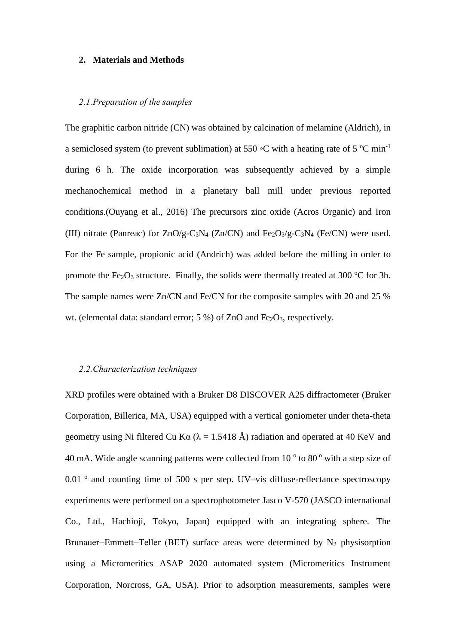#### **2. Materials and Methods**

#### *2.1.Preparation of the samples*

The graphitic carbon nitride (CN) was obtained by calcination of melamine (Aldrich), in a semiclosed system (to prevent sublimation) at 550 °C with a heating rate of 5 °C min<sup>-1</sup> during 6 h. The oxide incorporation was subsequently achieved by a simple mechanochemical method in a planetary ball mill under previous reported conditions.(Ouyang et al., 2016) The precursors zinc oxide (Acros Organic) and Iron (III) nitrate (Panreac) for  $ZnO/g-C_3N_4$  (Zn/CN) and Fe<sub>2</sub>O<sub>3</sub>/g-C<sub>3</sub>N<sub>4</sub> (Fe/CN) were used. For the Fe sample, propionic acid (Andrich) was added before the milling in order to promote the Fe<sub>2</sub>O<sub>3</sub> structure. Finally, the solids were thermally treated at 300  $^{\circ}$ C for 3h. The sample names were Zn/CN and Fe/CN for the composite samples with 20 and 25 % wt. (elemental data: standard error;  $5\%$ ) of ZnO and Fe<sub>2</sub>O<sub>3</sub>, respectively.

#### *2.2.Characterization techniques*

XRD profiles were obtained with a Bruker D8 DISCOVER A25 diffractometer (Bruker Corporation, Billerica, MA, USA) equipped with a vertical goniometer under theta-theta geometry using Ni filtered Cu K $\alpha$  ( $\lambda$  = 1.5418 Å) radiation and operated at 40 KeV and 40 mA. Wide angle scanning patterns were collected from  $10<sup>o</sup>$  to  $80<sup>o</sup>$  with a step size of 0.01 ° and counting time of 500 s per step. UV-vis diffuse-reflectance spectroscopy experiments were performed on a spectrophotometer Jasco V-570 (JASCO international Co., Ltd., Hachioji, Tokyo, Japan) equipped with an integrating sphere. The Brunauer–Emmett–Teller (BET) surface areas were determined by N<sub>2</sub> physisorption using a Micromeritics ASAP 2020 automated system (Micromeritics Instrument Corporation, Norcross, GA, USA). Prior to adsorption measurements, samples were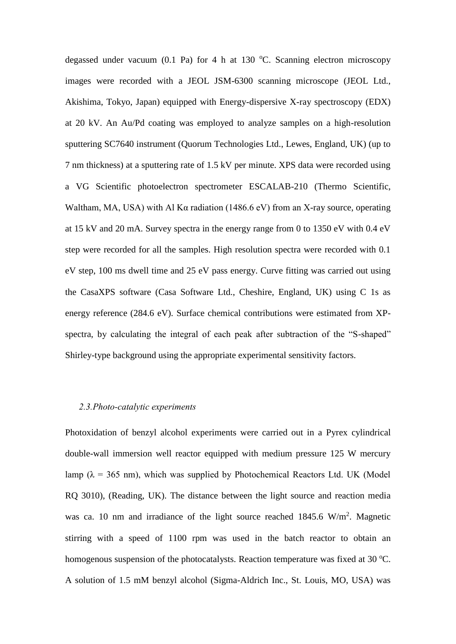degassed under vacuum  $(0.1 \text{ Pa})$  for 4 h at 130 °C. Scanning electron microscopy images were recorded with a JEOL JSM-6300 scanning microscope (JEOL Ltd., Akishima, Tokyo, Japan) equipped with Energy-dispersive X-ray spectroscopy (EDX) at 20 kV. An Au/Pd coating was employed to analyze samples on a high-resolution sputtering SC7640 instrument (Quorum Technologies Ltd., Lewes, England, UK) (up to 7 nm thickness) at a sputtering rate of 1.5 kV per minute. XPS data were recorded using a VG Scientific photoelectron spectrometer ESCALAB-210 (Thermo Scientific, Waltham, MA, USA) with Al Kα radiation (1486.6 eV) from an X-ray source, operating at 15 kV and 20 mA. Survey spectra in the energy range from 0 to 1350 eV with 0.4 eV step were recorded for all the samples. High resolution spectra were recorded with 0.1 eV step, 100 ms dwell time and 25 eV pass energy. Curve fitting was carried out using the CasaXPS software (Casa Software Ltd., Cheshire, England, UK) using C 1s as energy reference (284.6 eV). Surface chemical contributions were estimated from XPspectra, by calculating the integral of each peak after subtraction of the "S-shaped" Shirley-type background using the appropriate experimental sensitivity factors.

#### *2.3.Photo-catalytic experiments*

Photoxidation of benzyl alcohol experiments were carried out in a Pyrex cylindrical double-wall immersion well reactor equipped with medium pressure 125 W mercury lamp ( $\lambda = 365$  nm), which was supplied by Photochemical Reactors Ltd. UK (Model RQ 3010), (Reading, UK). The distance between the light source and reaction media was ca. 10 nm and irradiance of the light source reached  $1845.6 \text{ W/m}^2$ . Magnetic stirring with a speed of 1100 rpm was used in the batch reactor to obtain an homogenous suspension of the photocatalysts. Reaction temperature was fixed at 30  $^{\circ}$ C. A solution of 1.5 mM benzyl alcohol (Sigma-Aldrich Inc., St. Louis, MO, USA) was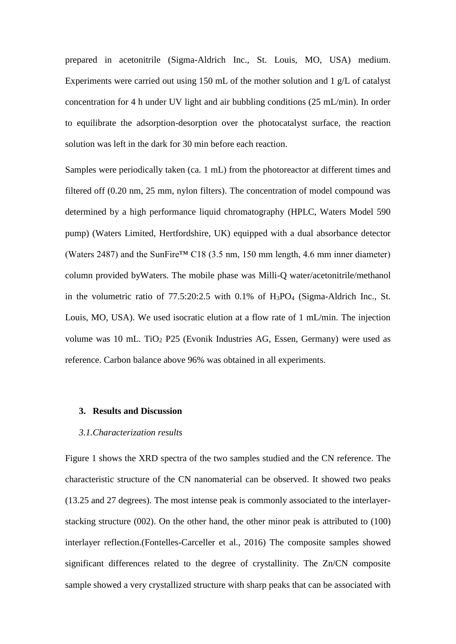prepared in acetonitrile (Sigma-Aldrich Inc., St. Louis, MO, USA) medium. Experiments were carried out using 150 mL of the mother solution and 1 g/L of catalyst concentration for 4 h under UV light and air bubbling conditions (25 mL/min). In order to equilibrate the adsorption-desorption over the photocatalyst surface, the reaction solution was left in the dark for 30 min before each reaction.

Samples were periodically taken (ca. 1 mL) from the photoreactor at different times and filtered off (0.20 nm, 25 mm, nylon filters). The concentration of model compound was determined by a high performance liquid chromatography (HPLC, Waters Model 590 pump) (Waters Limited, Hertfordshire, UK) equipped with a dual absorbance detector (Waters 2487) and the SunFire<sup>TM</sup> C18 (3.5 nm, 150 mm length, 4.6 mm inner diameter) column provided byWaters. The mobile phase was Milli-Q water/acetonitrile/methanol in the volumetric ratio of 77.5:20:2.5 with 0.1% of H3PO<sup>4</sup> (Sigma-Aldrich Inc., St. Louis, MO, USA). We used isocratic elution at a flow rate of 1 mL/min. The injection volume was 10 mL. TiO<sub>2</sub> P25 (Evonik Industries AG, Essen, Germany) were used as reference. Carbon balance above 96% was obtained in all experiments.

#### **3. Results and Discussion**

#### *3.1.Characterization results*

Figure 1 shows the XRD spectra of the two samples studied and the CN reference. The characteristic structure of the CN nanomaterial can be observed. It showed two peaks (13.25 and 27 degrees). The most intense peak is commonly associated to the interlayerstacking structure (002). On the other hand, the other minor peak is attributed to (100) interlayer reflection.(Fontelles-Carceller et al., 2016) The composite samples showed significant differences related to the degree of crystallinity. The Zn/CN composite sample showed a very crystallized structure with sharp peaks that can be associated with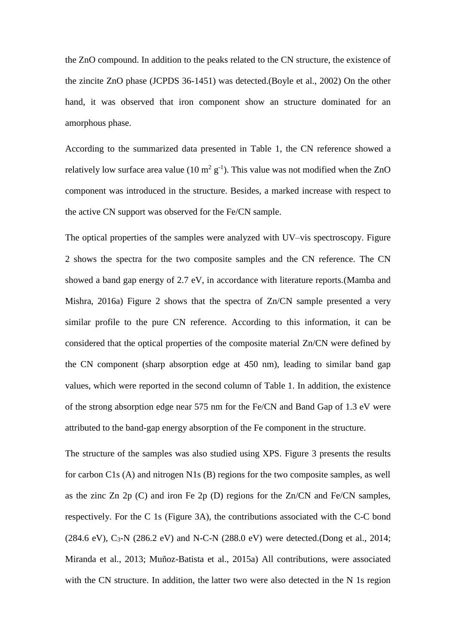the ZnO compound. In addition to the peaks related to the CN structure, the existence of the zincite ZnO phase (JCPDS 36-1451) was detected.(Boyle et al., 2002) On the other hand, it was observed that iron component show an structure dominated for an amorphous phase.

According to the summarized data presented in Table 1, the CN reference showed a relatively low surface area value (10  $m^2 g^{-1}$ ). This value was not modified when the ZnO component was introduced in the structure. Besides, a marked increase with respect to the active CN support was observed for the Fe/CN sample.

The optical properties of the samples were analyzed with UV–vis spectroscopy. Figure 2 shows the spectra for the two composite samples and the CN reference. The CN showed a band gap energy of 2.7 eV, in accordance with literature reports.(Mamba and Mishra, 2016a) Figure 2 shows that the spectra of Zn/CN sample presented a very similar profile to the pure CN reference. According to this information, it can be considered that the optical properties of the composite material Zn/CN were defined by the CN component (sharp absorption edge at 450 nm), leading to similar band gap values, which were reported in the second column of Table 1. In addition, the existence of the strong absorption edge near 575 nm for the Fe/CN and Band Gap of 1.3 eV were attributed to the band-gap energy absorption of the Fe component in the structure.

The structure of the samples was also studied using XPS. Figure 3 presents the results for carbon C1s (A) and nitrogen N1s (B) regions for the two composite samples, as well as the zinc Zn 2p (C) and iron Fe 2p (D) regions for the Zn/CN and Fe/CN samples, respectively. For the C 1s (Figure 3A), the contributions associated with the C-C bond  $(284.6 \text{ eV})$ , C<sub>3</sub>-N  $(286.2 \text{ eV})$  and N-C-N  $(288.0 \text{ eV})$  were detected.(Dong et al., 2014; Miranda et al., 2013; Muñoz-Batista et al., 2015a) All contributions, were associated with the CN structure. In addition, the latter two were also detected in the N 1s region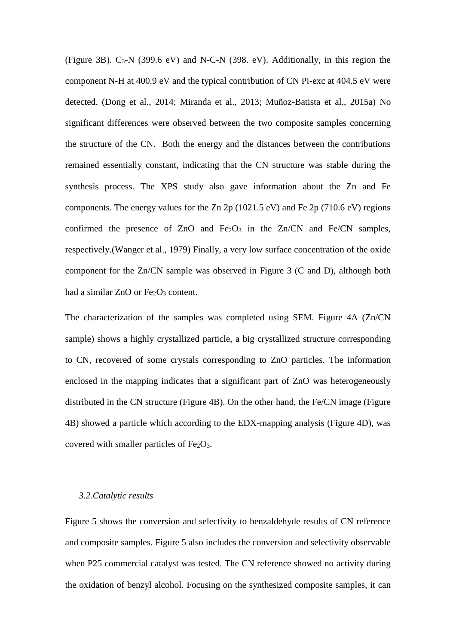(Figure 3B).  $C_3$ -N (399.6 eV) and N-C-N (398. eV). Additionally, in this region the component N-H at 400.9 eV and the typical contribution of CN Pi-exc at 404.5 eV were detected. (Dong et al., 2014; Miranda et al., 2013; Muñoz-Batista et al., 2015a) No significant differences were observed between the two composite samples concerning the structure of the CN. Both the energy and the distances between the contributions remained essentially constant, indicating that the CN structure was stable during the synthesis process. The XPS study also gave information about the Zn and Fe components. The energy values for the Zn 2p (1021.5 eV) and Fe 2p (710.6 eV) regions confirmed the presence of  $ZnO$  and  $Fe<sub>2</sub>O<sub>3</sub>$  in the  $Zn/CN$  and  $Fe/CN$  samples, respectively.(Wanger et al., 1979) Finally, a very low surface concentration of the oxide component for the Zn/CN sample was observed in Figure 3 (C and D), although both had a similar  $ZnO$  or  $Fe<sub>2</sub>O<sub>3</sub>$  content.

The characterization of the samples was completed using SEM. Figure 4A (Zn/CN sample) shows a highly crystallized particle, a big crystallized structure corresponding to CN, recovered of some crystals corresponding to ZnO particles. The information enclosed in the mapping indicates that a significant part of ZnO was heterogeneously distributed in the CN structure (Figure 4B). On the other hand, the Fe/CN image (Figure 4B) showed a particle which according to the EDX-mapping analysis (Figure 4D), was covered with smaller particles of  $Fe<sub>2</sub>O<sub>3</sub>$ .

#### *3.2.Catalytic results*

Figure 5 shows the conversion and selectivity to benzaldehyde results of CN reference and composite samples. Figure 5 also includes the conversion and selectivity observable when P25 commercial catalyst was tested. The CN reference showed no activity during the oxidation of benzyl alcohol. Focusing on the synthesized composite samples, it can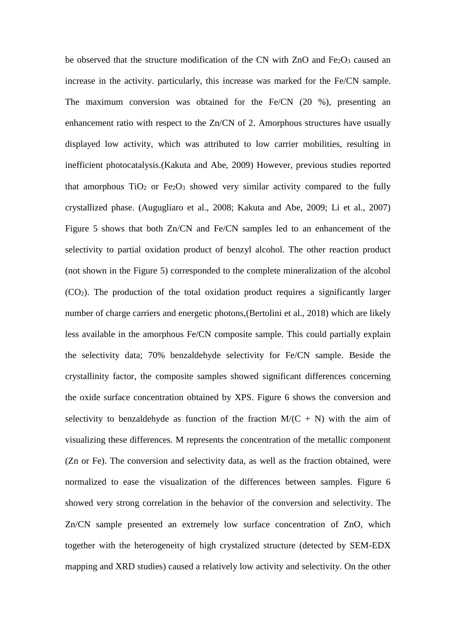be observed that the structure modification of the CN with  $ZnO$  and  $Fe<sub>2</sub>O<sub>3</sub>$  caused an increase in the activity. particularly, this increase was marked for the Fe/CN sample. The maximum conversion was obtained for the Fe/CN (20 %), presenting an enhancement ratio with respect to the Zn/CN of 2. Amorphous structures have usually displayed low activity, which was attributed to low carrier mobilities, resulting in inefficient photocatalysis.(Kakuta and Abe, 2009) However, previous studies reported that amorphous  $TiO<sub>2</sub>$  or  $Fe<sub>2</sub>O<sub>3</sub>$  showed very similar activity compared to the fully crystallized phase. (Augugliaro et al., 2008; Kakuta and Abe, 2009; Li et al., 2007) Figure 5 shows that both Zn/CN and Fe/CN samples led to an enhancement of the selectivity to partial oxidation product of benzyl alcohol. The other reaction product (not shown in the Figure 5) corresponded to the complete mineralization of the alcohol (CO2). The production of the total oxidation product requires a significantly larger number of charge carriers and energetic photons,(Bertolini et al., 2018) which are likely less available in the amorphous Fe/CN composite sample. This could partially explain the selectivity data; 70% benzaldehyde selectivity for Fe/CN sample. Beside the crystallinity factor, the composite samples showed significant differences concerning the oxide surface concentration obtained by XPS. Figure 6 shows the conversion and selectivity to benzaldehyde as function of the fraction  $M/(C + N)$  with the aim of visualizing these differences. M represents the concentration of the metallic component (Zn or Fe). The conversion and selectivity data, as well as the fraction obtained, were normalized to ease the visualization of the differences between samples. Figure 6 showed very strong correlation in the behavior of the conversion and selectivity. The Zn/CN sample presented an extremely low surface concentration of ZnO, which together with the heterogeneity of high crystalized structure (detected by SEM-EDX mapping and XRD studies) caused a relatively low activity and selectivity. On the other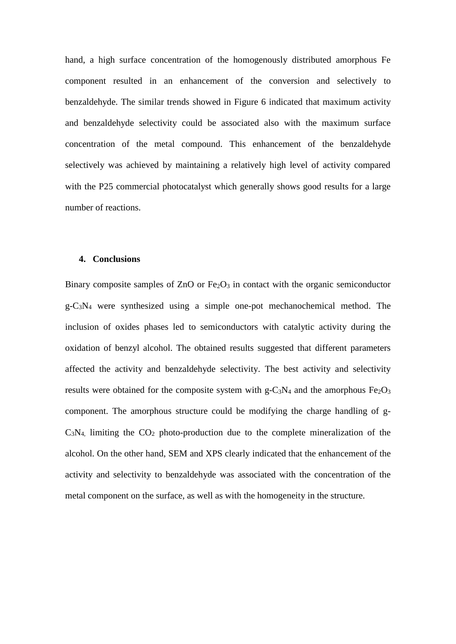hand, a high surface concentration of the homogenously distributed amorphous Fe component resulted in an enhancement of the conversion and selectively to benzaldehyde. The similar trends showed in Figure 6 indicated that maximum activity and benzaldehyde selectivity could be associated also with the maximum surface concentration of the metal compound. This enhancement of the benzaldehyde selectively was achieved by maintaining a relatively high level of activity compared with the P25 commercial photocatalyst which generally shows good results for a large number of reactions.

#### **4. Conclusions**

Binary composite samples of  $ZnO$  or  $Fe<sub>2</sub>O<sub>3</sub>$  in contact with the organic semiconductor  $g-C_3N_4$  were synthesized using a simple one-pot mechanochemical method. The inclusion of oxides phases led to semiconductors with catalytic activity during the oxidation of benzyl alcohol. The obtained results suggested that different parameters affected the activity and benzaldehyde selectivity. The best activity and selectivity results were obtained for the composite system with  $g - C_3N_4$  and the amorphous  $Fe<sub>2</sub>O<sub>3</sub>$ component. The amorphous structure could be modifying the charge handling of g- $C_3N_4$  limiting the  $CO_2$  photo-production due to the complete mineralization of the alcohol. On the other hand, SEM and XPS clearly indicated that the enhancement of the activity and selectivity to benzaldehyde was associated with the concentration of the metal component on the surface, as well as with the homogeneity in the structure.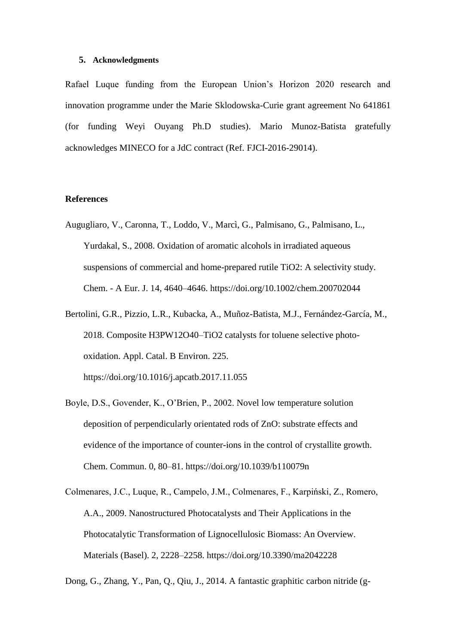#### **5. Acknowledgments**

Rafael Luque funding from the European Union's Horizon 2020 research and innovation programme under the Marie Sklodowska-Curie grant agreement No 641861 (for funding Weyi Ouyang Ph.D studies). Mario Munoz-Batista gratefully acknowledges MINECO for a JdC contract (Ref. FJCI-2016-29014).

#### **References**

- Augugliaro, V., Caronna, T., Loddo, V., Marcì, G., Palmisano, G., Palmisano, L., Yurdakal, S., 2008. Oxidation of aromatic alcohols in irradiated aqueous suspensions of commercial and home-prepared rutile TiO2: A selectivity study. Chem. - A Eur. J. 14, 4640–4646. https://doi.org/10.1002/chem.200702044
- Bertolini, G.R., Pizzio, L.R., Kubacka, A., Muñoz-Batista, M.J., Fernández-García, M., 2018. Composite H3PW12O40–TiO2 catalysts for toluene selective photooxidation. Appl. Catal. B Environ. 225. https://doi.org/10.1016/j.apcatb.2017.11.055
- Boyle, D.S., Govender, K., O'Brien, P., 2002. Novel low temperature solution deposition of perpendicularly orientated rods of ZnO: substrate effects and evidence of the importance of counter-ions in the control of crystallite growth. Chem. Commun. 0, 80–81. https://doi.org/10.1039/b110079n
- Colmenares, J.C., Luque, R., Campelo, J.M., Colmenares, F., Karpiński, Z., Romero, A.A., 2009. Nanostructured Photocatalysts and Their Applications in the Photocatalytic Transformation of Lignocellulosic Biomass: An Overview. Materials (Basel). 2, 2228–2258. https://doi.org/10.3390/ma2042228

Dong, G., Zhang, Y., Pan, Q., Qiu, J., 2014. A fantastic graphitic carbon nitride (g-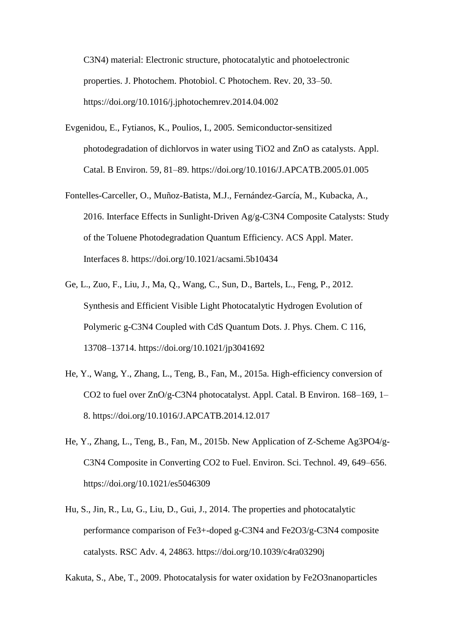C3N4) material: Electronic structure, photocatalytic and photoelectronic properties. J. Photochem. Photobiol. C Photochem. Rev. 20, 33–50. https://doi.org/10.1016/j.jphotochemrev.2014.04.002

- Evgenidou, E., Fytianos, K., Poulios, I., 2005. Semiconductor-sensitized photodegradation of dichlorvos in water using TiO2 and ZnO as catalysts. Appl. Catal. B Environ. 59, 81–89. https://doi.org/10.1016/J.APCATB.2005.01.005
- Fontelles-Carceller, O., Muñoz-Batista, M.J., Fernández-García, M., Kubacka, A., 2016. Interface Effects in Sunlight-Driven Ag/g-C3N4 Composite Catalysts: Study of the Toluene Photodegradation Quantum Efficiency. ACS Appl. Mater. Interfaces 8. https://doi.org/10.1021/acsami.5b10434
- Ge, L., Zuo, F., Liu, J., Ma, Q., Wang, C., Sun, D., Bartels, L., Feng, P., 2012. Synthesis and Efficient Visible Light Photocatalytic Hydrogen Evolution of Polymeric g-C3N4 Coupled with CdS Quantum Dots. J. Phys. Chem. C 116, 13708–13714. https://doi.org/10.1021/jp3041692
- He, Y., Wang, Y., Zhang, L., Teng, B., Fan, M., 2015a. High-efficiency conversion of CO2 to fuel over ZnO/g-C3N4 photocatalyst. Appl. Catal. B Environ. 168–169, 1– 8. https://doi.org/10.1016/J.APCATB.2014.12.017
- He, Y., Zhang, L., Teng, B., Fan, M., 2015b. New Application of Z-Scheme Ag3PO4/g-C3N4 Composite in Converting CO2 to Fuel. Environ. Sci. Technol. 49, 649–656. https://doi.org/10.1021/es5046309
- Hu, S., Jin, R., Lu, G., Liu, D., Gui, J., 2014. The properties and photocatalytic performance comparison of Fe3+-doped g-C3N4 and Fe2O3/g-C3N4 composite catalysts. RSC Adv. 4, 24863. https://doi.org/10.1039/c4ra03290j

Kakuta, S., Abe, T., 2009. Photocatalysis for water oxidation by Fe2O3nanoparticles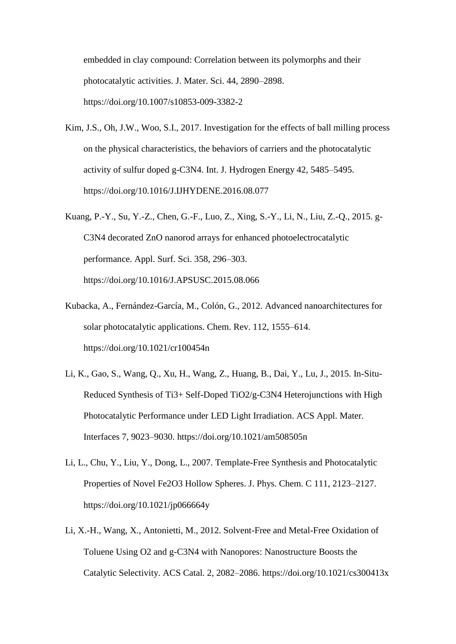embedded in clay compound: Correlation between its polymorphs and their photocatalytic activities. J. Mater. Sci. 44, 2890–2898. https://doi.org/10.1007/s10853-009-3382-2

- Kim, J.S., Oh, J.W., Woo, S.I., 2017. Investigation for the effects of ball milling process on the physical characteristics, the behaviors of carriers and the photocatalytic activity of sulfur doped g-C3N4. Int. J. Hydrogen Energy 42, 5485–5495. https://doi.org/10.1016/J.IJHYDENE.2016.08.077
- Kuang, P.-Y., Su, Y.-Z., Chen, G.-F., Luo, Z., Xing, S.-Y., Li, N., Liu, Z.-Q., 2015. g-C3N4 decorated ZnO nanorod arrays for enhanced photoelectrocatalytic performance. Appl. Surf. Sci. 358, 296–303. https://doi.org/10.1016/J.APSUSC.2015.08.066
- Kubacka, A., Fernández-García, M., Colón, G., 2012. Advanced nanoarchitectures for solar photocatalytic applications. Chem. Rev. 112, 1555–614. https://doi.org/10.1021/cr100454n
- Li, K., Gao, S., Wang, Q., Xu, H., Wang, Z., Huang, B., Dai, Y., Lu, J., 2015. In-Situ-Reduced Synthesis of Ti3+ Self-Doped TiO2/g-C3N4 Heterojunctions with High Photocatalytic Performance under LED Light Irradiation. ACS Appl. Mater. Interfaces 7, 9023–9030. https://doi.org/10.1021/am508505n
- Li, L., Chu, Y., Liu, Y., Dong, L., 2007. Template-Free Synthesis and Photocatalytic Properties of Novel Fe2O3 Hollow Spheres. J. Phys. Chem. C 111, 2123–2127. https://doi.org/10.1021/jp066664y
- Li, X.-H., Wang, X., Antonietti, M., 2012. Solvent-Free and Metal-Free Oxidation of Toluene Using O2 and g-C3N4 with Nanopores: Nanostructure Boosts the Catalytic Selectivity. ACS Catal. 2, 2082–2086. https://doi.org/10.1021/cs300413x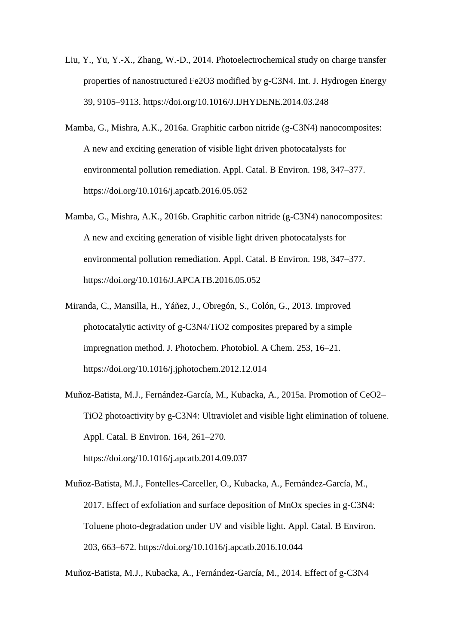- Liu, Y., Yu, Y.-X., Zhang, W.-D., 2014. Photoelectrochemical study on charge transfer properties of nanostructured Fe2O3 modified by g-C3N4. Int. J. Hydrogen Energy 39, 9105–9113. https://doi.org/10.1016/J.IJHYDENE.2014.03.248
- Mamba, G., Mishra, A.K., 2016a. Graphitic carbon nitride (g-C3N4) nanocomposites: A new and exciting generation of visible light driven photocatalysts for environmental pollution remediation. Appl. Catal. B Environ. 198, 347–377. https://doi.org/10.1016/j.apcatb.2016.05.052
- Mamba, G., Mishra, A.K., 2016b. Graphitic carbon nitride (g-C3N4) nanocomposites: A new and exciting generation of visible light driven photocatalysts for environmental pollution remediation. Appl. Catal. B Environ. 198, 347–377. https://doi.org/10.1016/J.APCATB.2016.05.052
- Miranda, C., Mansilla, H., Yáñez, J., Obregón, S., Colón, G., 2013. Improved photocatalytic activity of g-C3N4/TiO2 composites prepared by a simple impregnation method. J. Photochem. Photobiol. A Chem. 253, 16–21. https://doi.org/10.1016/j.jphotochem.2012.12.014
- Muñoz-Batista, M.J., Fernández-García, M., Kubacka, A., 2015a. Promotion of CeO2– TiO2 photoactivity by g-C3N4: Ultraviolet and visible light elimination of toluene. Appl. Catal. B Environ. 164, 261–270. https://doi.org/10.1016/j.apcatb.2014.09.037
- Muñoz-Batista, M.J., Fontelles-Carceller, O., Kubacka, A., Fernández-García, M., 2017. Effect of exfoliation and surface deposition of MnOx species in g-C3N4: Toluene photo-degradation under UV and visible light. Appl. Catal. B Environ. 203, 663–672. https://doi.org/10.1016/j.apcatb.2016.10.044

Muñoz-Batista, M.J., Kubacka, A., Fernández-García, M., 2014. Effect of g-C3N4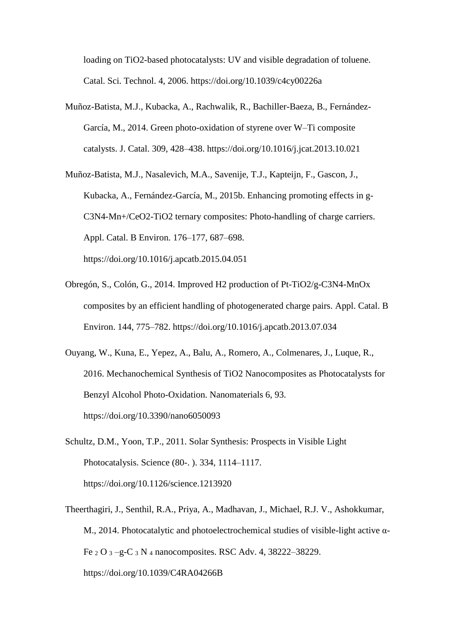loading on TiO2-based photocatalysts: UV and visible degradation of toluene. Catal. Sci. Technol. 4, 2006. https://doi.org/10.1039/c4cy00226a

Muñoz-Batista, M.J., Kubacka, A., Rachwalik, R., Bachiller-Baeza, B., Fernández-García, M., 2014. Green photo-oxidation of styrene over W–Ti composite catalysts. J. Catal. 309, 428–438. https://doi.org/10.1016/j.jcat.2013.10.021

Muñoz-Batista, M.J., Nasalevich, M.A., Savenije, T.J., Kapteijn, F., Gascon, J., Kubacka, A., Fernández-García, M., 2015b. Enhancing promoting effects in g-C3N4-Mn+/CeO2-TiO2 ternary composites: Photo-handling of charge carriers. Appl. Catal. B Environ. 176–177, 687–698. https://doi.org/10.1016/j.apcatb.2015.04.051

- Obregón, S., Colón, G., 2014. Improved H2 production of Pt-TiO2/g-C3N4-MnOx composites by an efficient handling of photogenerated charge pairs. Appl. Catal. B Environ. 144, 775–782. https://doi.org/10.1016/j.apcatb.2013.07.034
- Ouyang, W., Kuna, E., Yepez, A., Balu, A., Romero, A., Colmenares, J., Luque, R., 2016. Mechanochemical Synthesis of TiO2 Nanocomposites as Photocatalysts for Benzyl Alcohol Photo-Oxidation. Nanomaterials 6, 93. https://doi.org/10.3390/nano6050093
- Schultz, D.M., Yoon, T.P., 2011. Solar Synthesis: Prospects in Visible Light Photocatalysis. Science (80-. ). 334, 1114–1117. https://doi.org/10.1126/science.1213920
- Theerthagiri, J., Senthil, R.A., Priya, A., Madhavan, J., Michael, R.J. V., Ashokkumar, M., 2014. Photocatalytic and photoelectrochemical studies of visible-light active α-Fe <sup>2</sup> O <sup>3</sup> –g-C <sup>3</sup> N <sup>4</sup> nanocomposites. RSC Adv. 4, 38222–38229. https://doi.org/10.1039/C4RA04266B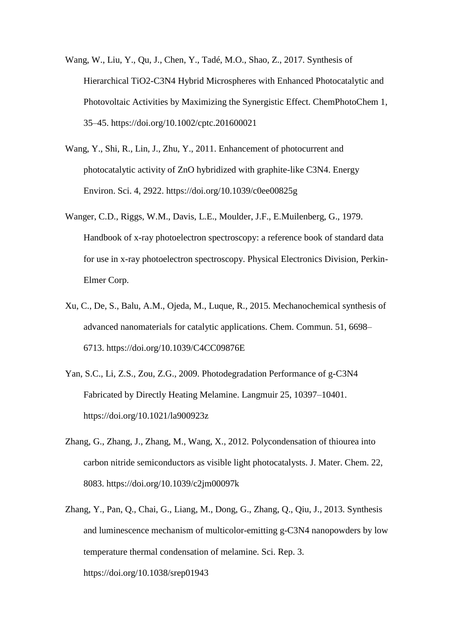- Wang, W., Liu, Y., Qu, J., Chen, Y., Tadé, M.O., Shao, Z., 2017. Synthesis of Hierarchical TiO2-C3N4 Hybrid Microspheres with Enhanced Photocatalytic and Photovoltaic Activities by Maximizing the Synergistic Effect. ChemPhotoChem 1, 35–45. https://doi.org/10.1002/cptc.201600021
- Wang, Y., Shi, R., Lin, J., Zhu, Y., 2011. Enhancement of photocurrent and photocatalytic activity of ZnO hybridized with graphite-like C3N4. Energy Environ. Sci. 4, 2922. https://doi.org/10.1039/c0ee00825g
- Wanger, C.D., Riggs, W.M., Davis, L.E., Moulder, J.F., E.Muilenberg, G., 1979. Handbook of x-ray photoelectron spectroscopy: a reference book of standard data for use in x-ray photoelectron spectroscopy. Physical Electronics Division, Perkin-Elmer Corp.
- Xu, C., De, S., Balu, A.M., Ojeda, M., Luque, R., 2015. Mechanochemical synthesis of advanced nanomaterials for catalytic applications. Chem. Commun. 51, 6698– 6713. https://doi.org/10.1039/C4CC09876E
- Yan, S.C., Li, Z.S., Zou, Z.G., 2009. Photodegradation Performance of g-C3N4 Fabricated by Directly Heating Melamine. Langmuir 25, 10397–10401. https://doi.org/10.1021/la900923z
- Zhang, G., Zhang, J., Zhang, M., Wang, X., 2012. Polycondensation of thiourea into carbon nitride semiconductors as visible light photocatalysts. J. Mater. Chem. 22, 8083. https://doi.org/10.1039/c2jm00097k
- Zhang, Y., Pan, Q., Chai, G., Liang, M., Dong, G., Zhang, Q., Qiu, J., 2013. Synthesis and luminescence mechanism of multicolor-emitting g-C3N4 nanopowders by low temperature thermal condensation of melamine. Sci. Rep. 3. https://doi.org/10.1038/srep01943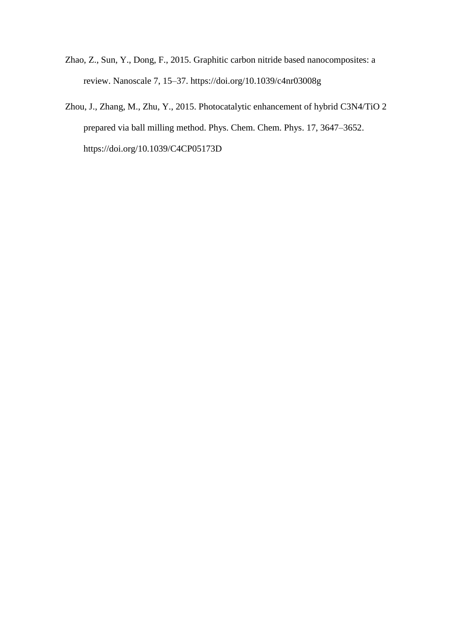- Zhao, Z., Sun, Y., Dong, F., 2015. Graphitic carbon nitride based nanocomposites: a review. Nanoscale 7, 15–37. https://doi.org/10.1039/c4nr03008g
- Zhou, J., Zhang, M., Zhu, Y., 2015. Photocatalytic enhancement of hybrid C3N4/TiO 2 prepared via ball milling method. Phys. Chem. Chem. Phys. 17, 3647–3652. https://doi.org/10.1039/C4CP05173D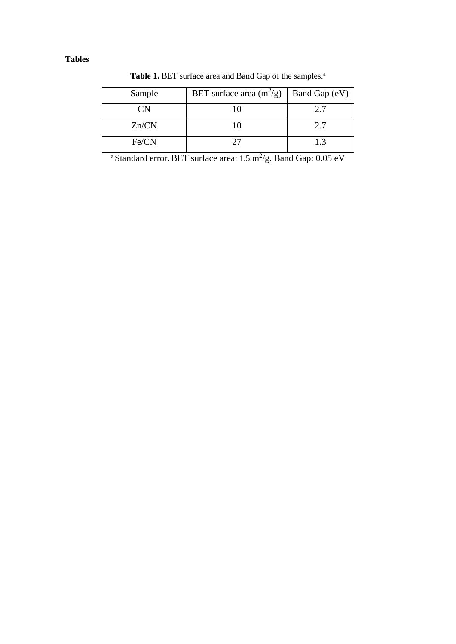## **Tables**

Table 1. BET surface area and Band Gap of the samples.<sup>a</sup>

| Sample | BET surface area $(m^2/g)$ | Band Gap (eV) |
|--------|----------------------------|---------------|
| CΝ     |                            | 2.7           |
| Zn/CN  | 10                         | 2.7           |
| Fe/CN  |                            | 1.3           |

<sup>a</sup> Standard error. BET surface area:  $1.5 \text{ m}^2/\text{g}$ . Band Gap: 0.05 eV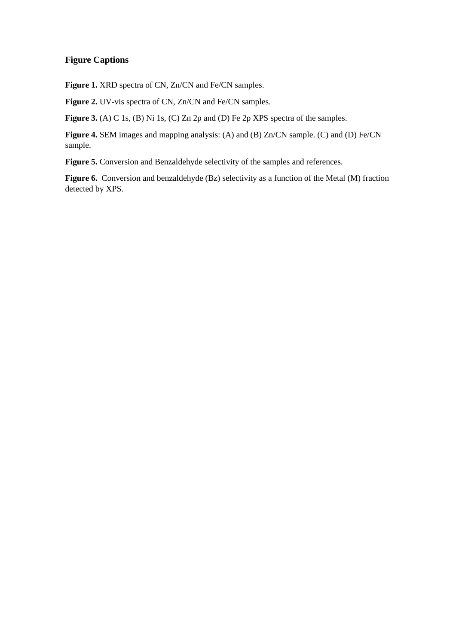### **Figure Captions**

Figure 1. XRD spectra of CN, Zn/CN and Fe/CN samples.

Figure 2. UV-vis spectra of CN, Zn/CN and Fe/CN samples.

**Figure 3.** (A) C 1s, (B) Ni 1s, (C) Zn 2p and (D) Fe 2p XPS spectra of the samples.

**Figure 4.** SEM images and mapping analysis: (A) and (B) Zn/CN sample. (C) and (D) Fe/CN sample.

**Figure 5.** Conversion and Benzaldehyde selectivity of the samples and references.

**Figure 6.** Conversion and benzaldehyde (Bz) selectivity as a function of the Metal (M) fraction detected by XPS.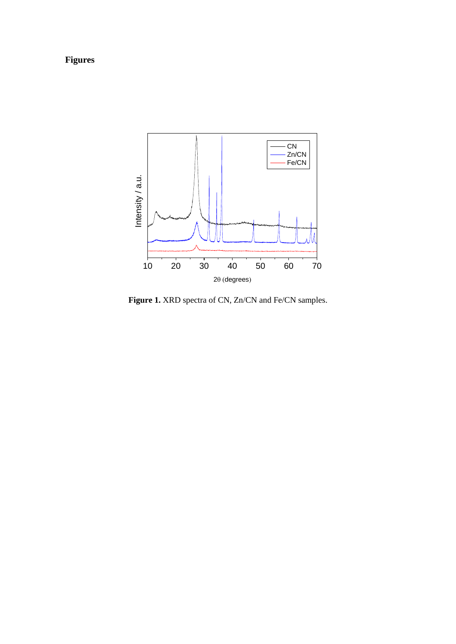# **Figures**

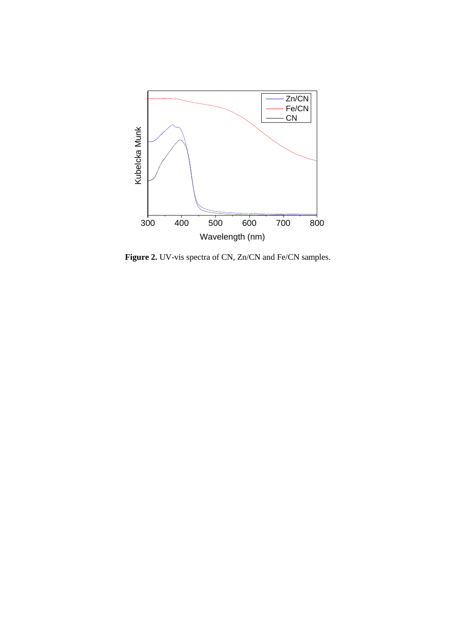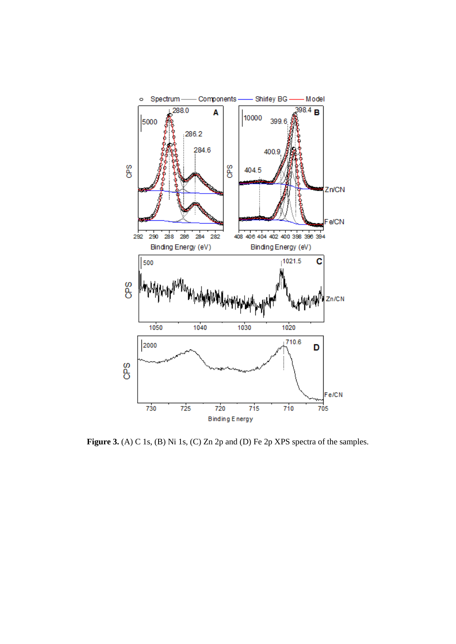

Figure 3. (A) C 1s, (B) Ni 1s, (C) Zn 2p and (D) Fe 2p XPS spectra of the samples.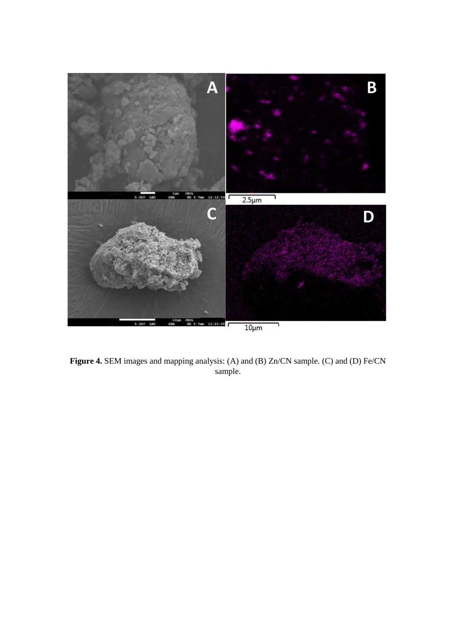

**Figure 4.** SEM images and mapping analysis: (A) and (B) Zn/CN sample. (C) and (D) Fe/CN sample.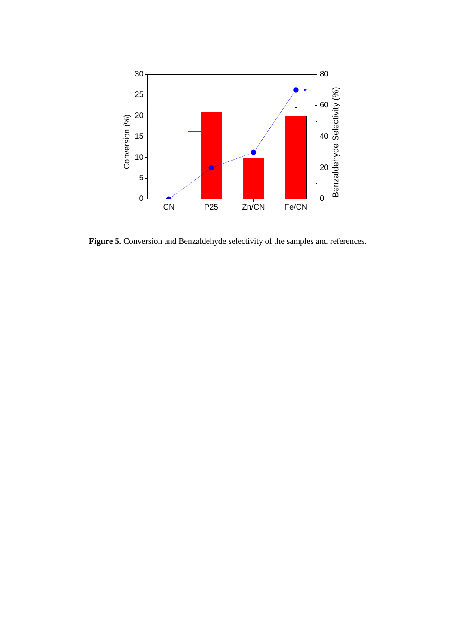